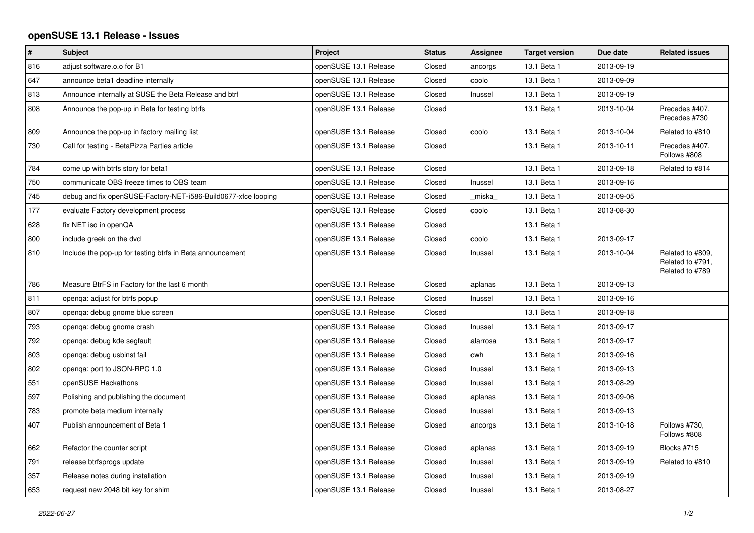## **openSUSE 13.1 Release - Issues**

| $\vert$ # | <b>Subject</b>                                                 | Project               | <b>Status</b> | Assignee | <b>Target version</b> | Due date   | <b>Related issues</b>                                   |
|-----------|----------------------------------------------------------------|-----------------------|---------------|----------|-----------------------|------------|---------------------------------------------------------|
| 816       | adjust software.o.o for B1                                     | openSUSE 13.1 Release | Closed        | ancorgs  | 13.1 Beta 1           | 2013-09-19 |                                                         |
| 647       | announce beta1 deadline internally                             | openSUSE 13.1 Release | Closed        | coolo    | 13.1 Beta 1           | 2013-09-09 |                                                         |
| 813       | Announce internally at SUSE the Beta Release and btrf          | openSUSE 13.1 Release | Closed        | Inussel  | 13.1 Beta 1           | 2013-09-19 |                                                         |
| 808       | Announce the pop-up in Beta for testing btrfs                  | openSUSE 13.1 Release | Closed        |          | 13.1 Beta 1           | 2013-10-04 | Precedes #407,<br>Precedes #730                         |
| 809       | Announce the pop-up in factory mailing list                    | openSUSE 13.1 Release | Closed        | coolo    | 13.1 Beta 1           | 2013-10-04 | Related to #810                                         |
| 730       | Call for testing - BetaPizza Parties article                   | openSUSE 13.1 Release | Closed        |          | 13.1 Beta 1           | 2013-10-11 | Precedes #407,<br>Follows #808                          |
| 784       | come up with btrfs story for beta1                             | openSUSE 13.1 Release | Closed        |          | 13.1 Beta 1           | 2013-09-18 | Related to #814                                         |
| 750       | communicate OBS freeze times to OBS team                       | openSUSE 13.1 Release | Closed        | Inussel  | 13.1 Beta 1           | 2013-09-16 |                                                         |
| 745       | debug and fix openSUSE-Factory-NET-i586-Build0677-xfce looping | openSUSE 13.1 Release | Closed        | _miska_  | 13.1 Beta 1           | 2013-09-05 |                                                         |
| 177       | evaluate Factory development process                           | openSUSE 13.1 Release | Closed        | coolo    | 13.1 Beta 1           | 2013-08-30 |                                                         |
| 628       | fix NET iso in openQA                                          | openSUSE 13.1 Release | Closed        |          | 13.1 Beta 1           |            |                                                         |
| 800       | include greek on the dvd                                       | openSUSE 13.1 Release | Closed        | coolo    | 13.1 Beta 1           | 2013-09-17 |                                                         |
| 810       | Include the pop-up for testing btrfs in Beta announcement      | openSUSE 13.1 Release | Closed        | Inussel  | 13.1 Beta 1           | 2013-10-04 | Related to #809,<br>Related to #791,<br>Related to #789 |
| 786       | Measure BtrFS in Factory for the last 6 month                  | openSUSE 13.1 Release | Closed        | aplanas  | 13.1 Beta 1           | 2013-09-13 |                                                         |
| 811       | openga: adjust for btrfs popup                                 | openSUSE 13.1 Release | Closed        | Inussel  | 13.1 Beta 1           | 2013-09-16 |                                                         |
| 807       | openga: debug gnome blue screen                                | openSUSE 13.1 Release | Closed        |          | 13.1 Beta 1           | 2013-09-18 |                                                         |
| 793       | openqa: debug gnome crash                                      | openSUSE 13.1 Release | Closed        | Inussel  | 13.1 Beta 1           | 2013-09-17 |                                                         |
| 792       | openga: debug kde segfault                                     | openSUSE 13.1 Release | Closed        | alarrosa | 13.1 Beta 1           | 2013-09-17 |                                                         |
| 803       | openga: debug usbinst fail                                     | openSUSE 13.1 Release | Closed        | cwh      | 13.1 Beta 1           | 2013-09-16 |                                                         |
| 802       | openga: port to JSON-RPC 1.0                                   | openSUSE 13.1 Release | Closed        | Inussel  | 13.1 Beta 1           | 2013-09-13 |                                                         |
| 551       | openSUSE Hackathons                                            | openSUSE 13.1 Release | Closed        | Inussel  | 13.1 Beta 1           | 2013-08-29 |                                                         |
| 597       | Polishing and publishing the document                          | openSUSE 13.1 Release | Closed        | aplanas  | 13.1 Beta 1           | 2013-09-06 |                                                         |
| 783       | promote beta medium internally                                 | openSUSE 13.1 Release | Closed        | Inussel  | 13.1 Beta 1           | 2013-09-13 |                                                         |
| 407       | Publish announcement of Beta 1                                 | openSUSE 13.1 Release | Closed        | ancorgs  | 13.1 Beta 1           | 2013-10-18 | Follows #730,<br>Follows #808                           |
| 662       | Refactor the counter script                                    | openSUSE 13.1 Release | Closed        | aplanas  | 13.1 Beta 1           | 2013-09-19 | Blocks #715                                             |
| 791       | release btrfsprogs update                                      | openSUSE 13.1 Release | Closed        | Inussel  | 13.1 Beta 1           | 2013-09-19 | Related to #810                                         |
| 357       | Release notes during installation                              | openSUSE 13.1 Release | Closed        | Inussel  | 13.1 Beta 1           | 2013-09-19 |                                                         |
| 653       | request new 2048 bit key for shim                              | openSUSE 13.1 Release | Closed        | Inussel  | 13.1 Beta 1           | 2013-08-27 |                                                         |